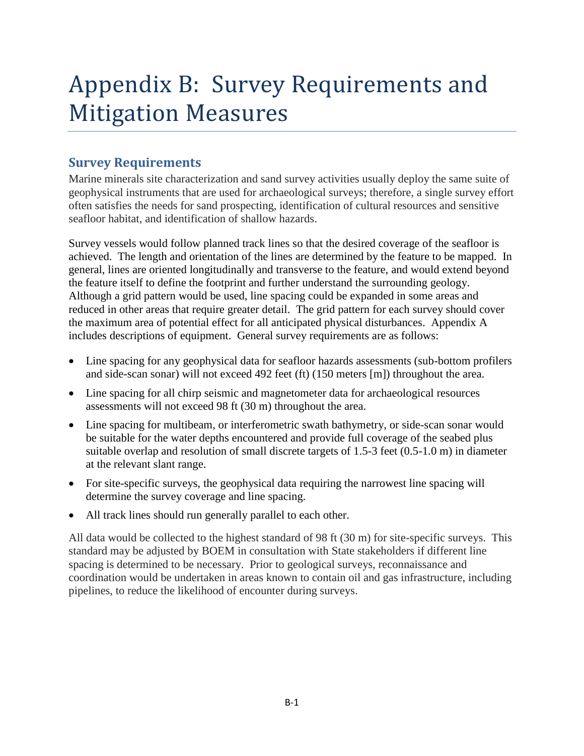# Appendix B: Survey Requirements and Mitigation Measures

# **Survey Requirements**

Marine minerals site characterization and sand survey activities usually deploy the same suite of geophysical instruments that are used for archaeological surveys; therefore, a single survey effort often satisfies the needs for sand prospecting, identification of cultural resources and sensitive seafloor habitat, and identification of shallow hazards.

Survey vessels would follow planned track lines so that the desired coverage of the seafloor is achieved. The length and orientation of the lines are determined by the feature to be mapped. In general, lines are oriented longitudinally and transverse to the feature, and would extend beyond the feature itself to define the footprint and further understand the surrounding geology. Although a grid pattern would be used, line spacing could be expanded in some areas and reduced in other areas that require greater detail. The grid pattern for each survey should cover the maximum area of potential effect for all anticipated physical disturbances. Appendix A includes descriptions of equipment. General survey requirements are as follows:

- Line spacing for any geophysical data for seafloor hazards assessments (sub-bottom profilers and side-scan sonar) will not exceed 492 feet (ft) (150 meters [m]) throughout the area.
- Line spacing for all chirp seismic and magnetometer data for archaeological resources assessments will not exceed 98 ft (30 m) throughout the area.
- Line spacing for multibeam, or interferometric swath bathymetry, or side-scan sonar would be suitable for the water depths encountered and provide full coverage of the seabed plus suitable overlap and resolution of small discrete targets of 1.5-3 feet (0.5-1.0 m) in diameter at the relevant slant range.
- For site-specific surveys, the geophysical data requiring the narrowest line spacing will determine the survey coverage and line spacing.
- All track lines should run generally parallel to each other.

All data would be collected to the highest standard of 98 ft (30 m) for site-specific surveys. This standard may be adjusted by BOEM in consultation with State stakeholders if different line spacing is determined to be necessary. Prior to geological surveys, reconnaissance and coordination would be undertaken in areas known to contain oil and gas infrastructure, including pipelines, to reduce the likelihood of encounter during surveys.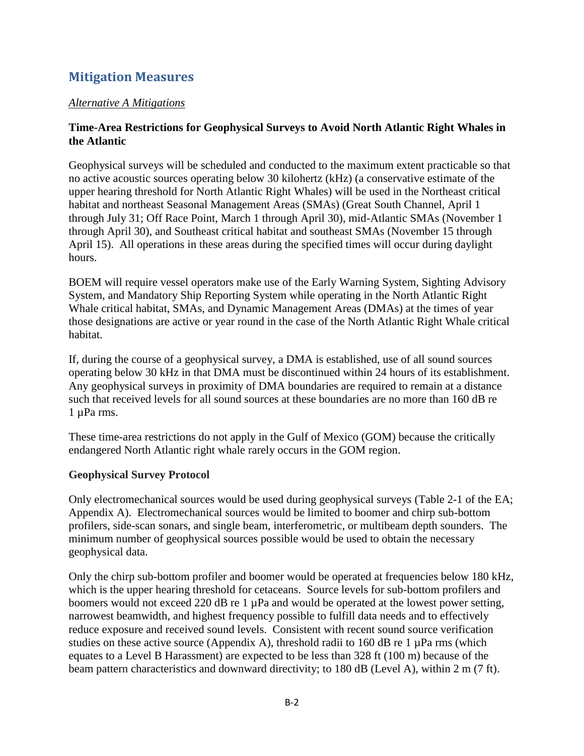# **Mitigation Measures**

### *Alternative A Mitigations*

### **Time-Area Restrictions for Geophysical Surveys to Avoid North Atlantic Right Whales in the Atlantic**

Geophysical surveys will be scheduled and conducted to the maximum extent practicable so that no active acoustic sources operating below 30 kilohertz (kHz) (a conservative estimate of the upper hearing threshold for North Atlantic Right Whales) will be used in the Northeast critical habitat and northeast Seasonal Management Areas (SMAs) (Great South Channel, April 1 through July 31; Off Race Point, March 1 through April 30), mid-Atlantic SMAs (November 1 through April 30), and Southeast critical habitat and southeast SMAs (November 15 through April 15). All operations in these areas during the specified times will occur during daylight hours.

BOEM will require vessel operators make use of the Early Warning System, Sighting Advisory System, and Mandatory Ship Reporting System while operating in the North Atlantic Right Whale critical habitat, SMAs, and Dynamic Management Areas (DMAs) at the times of year those designations are active or year round in the case of the North Atlantic Right Whale critical habitat.

If, during the course of a geophysical survey, a DMA is established, use of all sound sources operating below 30 kHz in that DMA must be discontinued within 24 hours of its establishment. Any geophysical surveys in proximity of DMA boundaries are required to remain at a distance such that received levels for all sound sources at these boundaries are no more than 160 dB re 1 uPa rms.

These time-area restrictions do not apply in the Gulf of Mexico (GOM) because the critically endangered North Atlantic right whale rarely occurs in the GOM region.

# **Geophysical Survey Protocol**

Only electromechanical sources would be used during geophysical surveys (Table 2-1 of the EA; Appendix A). Electromechanical sources would be limited to boomer and chirp sub-bottom profilers, side-scan sonars, and single beam, interferometric, or multibeam depth sounders. The minimum number of geophysical sources possible would be used to obtain the necessary geophysical data.

Only the chirp sub-bottom profiler and boomer would be operated at frequencies below 180 kHz, which is the upper hearing threshold for cetaceans. Source levels for sub-bottom profilers and boomers would not exceed 220 dB re 1  $\mu$ Pa and would be operated at the lowest power setting, narrowest beamwidth, and highest frequency possible to fulfill data needs and to effectively reduce exposure and received sound levels. Consistent with recent sound source verification studies on these active source (Appendix A), threshold radii to 160 dB re 1  $\mu$ Pa rms (which equates to a Level B Harassment) are expected to be less than 328 ft (100 m) because of the beam pattern characteristics and downward directivity; to 180 dB (Level A), within 2 m (7 ft).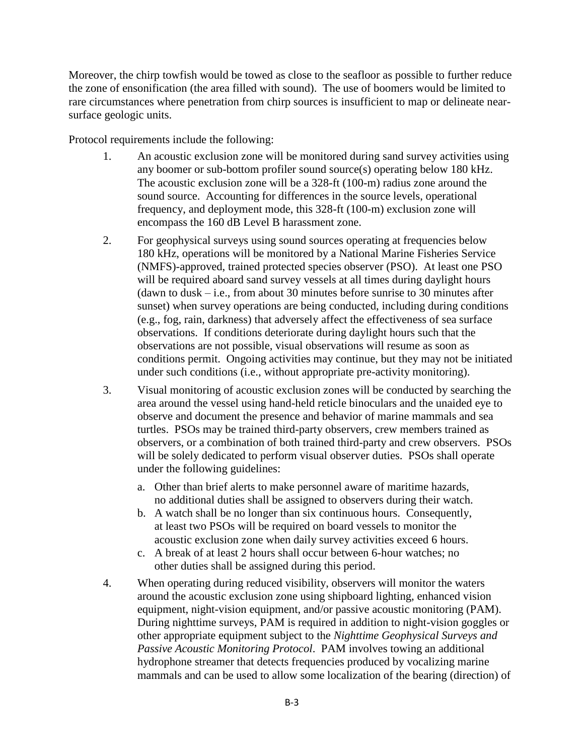Moreover, the chirp towfish would be towed as close to the seafloor as possible to further reduce the zone of ensonification (the area filled with sound). The use of boomers would be limited to rare circumstances where penetration from chirp sources is insufficient to map or delineate nearsurface geologic units.

Protocol requirements include the following:

- 1. An acoustic exclusion zone will be monitored during sand survey activities using any boomer or sub-bottom profiler sound source(s) operating below 180 kHz. The acoustic exclusion zone will be a 328-ft (100-m) radius zone around the sound source. Accounting for differences in the source levels, operational frequency, and deployment mode, this 328-ft (100-m) exclusion zone will encompass the 160 dB Level B harassment zone.
- 2. For geophysical surveys using sound sources operating at frequencies below 180 kHz, operations will be monitored by a National Marine Fisheries Service (NMFS)-approved, trained protected species observer (PSO). At least one PSO will be required aboard sand survey vessels at all times during daylight hours  $d$  (dawn to dusk – i.e., from about 30 minutes before sunrise to 30 minutes after sunset) when survey operations are being conducted, including during conditions (e.g., fog, rain, darkness) that adversely affect the effectiveness of sea surface observations. If conditions deteriorate during daylight hours such that the observations are not possible, visual observations will resume as soon as conditions permit. Ongoing activities may continue, but they may not be initiated under such conditions (i.e., without appropriate pre-activity monitoring).
- 3. Visual monitoring of acoustic exclusion zones will be conducted by searching the area around the vessel using hand-held reticle binoculars and the unaided eye to observe and document the presence and behavior of marine mammals and sea turtles. PSOs may be trained third-party observers, crew members trained as observers, or a combination of both trained third-party and crew observers. PSOs will be solely dedicated to perform visual observer duties. PSOs shall operate under the following guidelines:
	- a. Other than brief alerts to make personnel aware of maritime hazards, no additional duties shall be assigned to observers during their watch.
	- b. A watch shall be no longer than six continuous hours. Consequently, at least two PSOs will be required on board vessels to monitor the acoustic exclusion zone when daily survey activities exceed 6 hours.
	- c. A break of at least 2 hours shall occur between 6-hour watches; no other duties shall be assigned during this period.
- 4. When operating during reduced visibility, observers will monitor the waters around the acoustic exclusion zone using shipboard lighting, enhanced vision equipment, night-vision equipment, and/or passive acoustic monitoring (PAM). During nighttime surveys, PAM is required in addition to night-vision goggles or other appropriate equipment subject to the *Nighttime Geophysical Surveys and Passive Acoustic Monitoring Protocol*. PAM involves towing an additional hydrophone streamer that detects frequencies produced by vocalizing marine mammals and can be used to allow some localization of the bearing (direction) of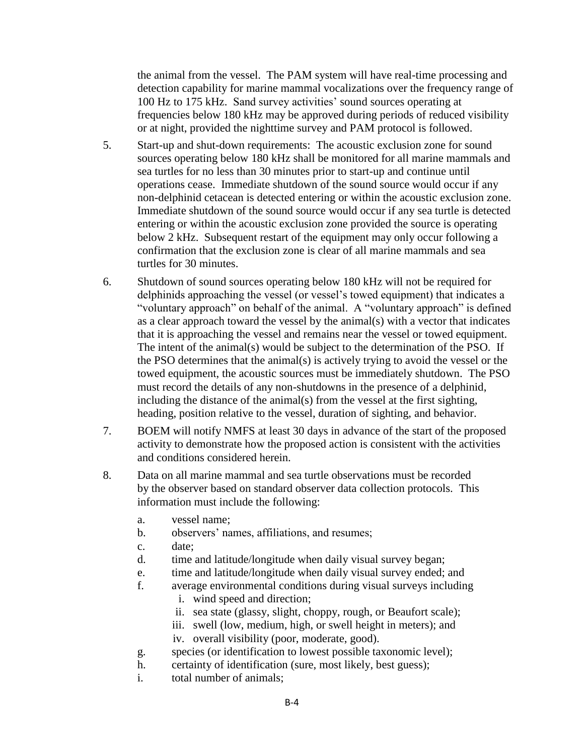the animal from the vessel. The PAM system will have real-time processing and detection capability for marine mammal vocalizations over the frequency range of 100 Hz to 175 kHz. Sand survey activities' sound sources operating at frequencies below 180 kHz may be approved during periods of reduced visibility or at night, provided the nighttime survey and PAM protocol is followed.

- 5. Start-up and shut-down requirements: The acoustic exclusion zone for sound sources operating below 180 kHz shall be monitored for all marine mammals and sea turtles for no less than 30 minutes prior to start-up and continue until operations cease. Immediate shutdown of the sound source would occur if any non-delphinid cetacean is detected entering or within the acoustic exclusion zone. Immediate shutdown of the sound source would occur if any sea turtle is detected entering or within the acoustic exclusion zone provided the source is operating below 2 kHz. Subsequent restart of the equipment may only occur following a confirmation that the exclusion zone is clear of all marine mammals and sea turtles for 30 minutes.
- 6. Shutdown of sound sources operating below 180 kHz will not be required for delphinids approaching the vessel (or vessel's towed equipment) that indicates a "voluntary approach" on behalf of the animal. A "voluntary approach" is defined as a clear approach toward the vessel by the animal(s) with a vector that indicates that it is approaching the vessel and remains near the vessel or towed equipment. The intent of the animal(s) would be subject to the determination of the PSO. If the PSO determines that the animal(s) is actively trying to avoid the vessel or the towed equipment, the acoustic sources must be immediately shutdown. The PSO must record the details of any non-shutdowns in the presence of a delphinid, including the distance of the animal(s) from the vessel at the first sighting, heading, position relative to the vessel, duration of sighting, and behavior.
- 7. BOEM will notify NMFS at least 30 days in advance of the start of the proposed activity to demonstrate how the proposed action is consistent with the activities and conditions considered herein.
- 8. Data on all marine mammal and sea turtle observations must be recorded by the observer based on standard observer data collection protocols. This information must include the following:
	- a. vessel name;
	- b. observers' names, affiliations, and resumes;
	- c. date;
	- d. time and latitude/longitude when daily visual survey began;
	- e. time and latitude/longitude when daily visual survey ended; and
	- f. average environmental conditions during visual surveys including
		- i. wind speed and direction;
		- ii. sea state (glassy, slight, choppy, rough, or Beaufort scale);
		- iii. swell (low, medium, high, or swell height in meters); and
		- iv. overall visibility (poor, moderate, good).
	- g. species (or identification to lowest possible taxonomic level);
	- h. certainty of identification (sure, most likely, best guess);
	- i. total number of animals;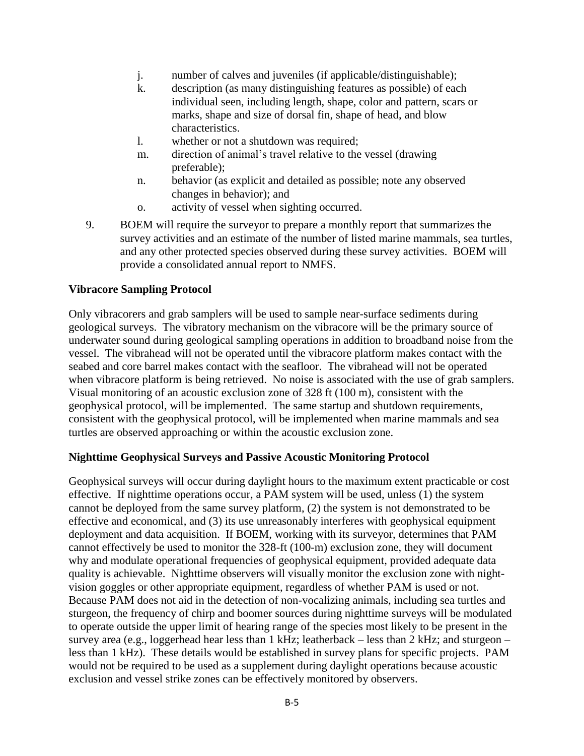- j. number of calves and juveniles (if applicable/distinguishable);
- k. description (as many distinguishing features as possible) of each individual seen, including length, shape, color and pattern, scars or marks, shape and size of dorsal fin, shape of head, and blow characteristics.
- l. whether or not a shutdown was required;
- m. direction of animal's travel relative to the vessel (drawing preferable);
- n. behavior (as explicit and detailed as possible; note any observed changes in behavior); and
- o. activity of vessel when sighting occurred.
- 9. BOEM will require the surveyor to prepare a monthly report that summarizes the survey activities and an estimate of the number of listed marine mammals, sea turtles, and any other protected species observed during these survey activities. BOEM will provide a consolidated annual report to NMFS.

#### **Vibracore Sampling Protocol**

Only vibracorers and grab samplers will be used to sample near-surface sediments during geological surveys. The vibratory mechanism on the vibracore will be the primary source of underwater sound during geological sampling operations in addition to broadband noise from the vessel. The vibrahead will not be operated until the vibracore platform makes contact with the seabed and core barrel makes contact with the seafloor. The vibrahead will not be operated when vibracore platform is being retrieved. No noise is associated with the use of grab samplers. Visual monitoring of an acoustic exclusion zone of 328 ft (100 m), consistent with the geophysical protocol, will be implemented. The same startup and shutdown requirements, consistent with the geophysical protocol, will be implemented when marine mammals and sea turtles are observed approaching or within the acoustic exclusion zone.

#### **Nighttime Geophysical Surveys and Passive Acoustic Monitoring Protocol**

Geophysical surveys will occur during daylight hours to the maximum extent practicable or cost effective. If nighttime operations occur, a PAM system will be used, unless (1) the system cannot be deployed from the same survey platform, (2) the system is not demonstrated to be effective and economical, and (3) its use unreasonably interferes with geophysical equipment deployment and data acquisition. If BOEM, working with its surveyor, determines that PAM cannot effectively be used to monitor the 328-ft (100-m) exclusion zone, they will document why and modulate operational frequencies of geophysical equipment, provided adequate data quality is achievable. Nighttime observers will visually monitor the exclusion zone with nightvision goggles or other appropriate equipment, regardless of whether PAM is used or not. Because PAM does not aid in the detection of non-vocalizing animals, including sea turtles and sturgeon, the frequency of chirp and boomer sources during nighttime surveys will be modulated to operate outside the upper limit of hearing range of the species most likely to be present in the survey area (e.g., loggerhead hear less than 1 kHz; leatherback – less than 2 kHz; and sturgeon – less than 1 kHz). These details would be established in survey plans for specific projects. PAM would not be required to be used as a supplement during daylight operations because acoustic exclusion and vessel strike zones can be effectively monitored by observers.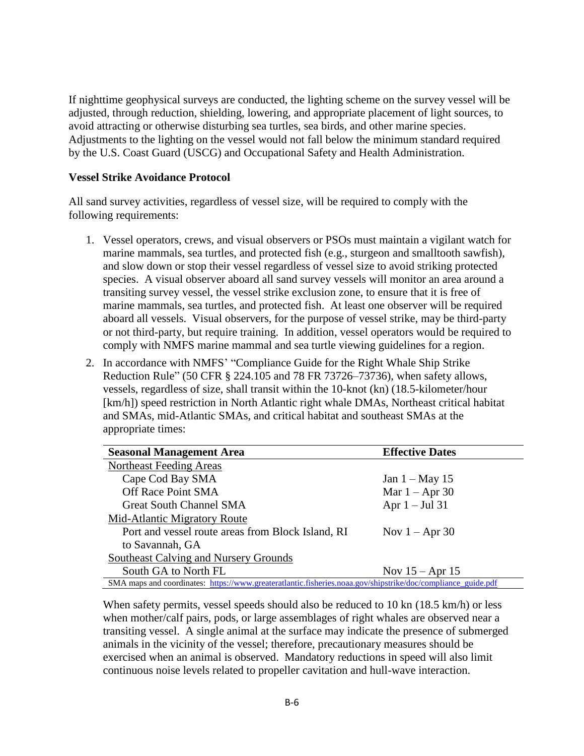If nighttime geophysical surveys are conducted, the lighting scheme on the survey vessel will be adjusted, through reduction, shielding, lowering, and appropriate placement of light sources, to avoid attracting or otherwise disturbing sea turtles, sea birds, and other marine species. Adjustments to the lighting on the vessel would not fall below the minimum standard required by the U.S. Coast Guard (USCG) and Occupational Safety and Health Administration.

#### **Vessel Strike Avoidance Protocol**

All sand survey activities, regardless of vessel size, will be required to comply with the following requirements:

- 1. Vessel operators, crews, and visual observers or PSOs must maintain a vigilant watch for marine mammals, sea turtles, and protected fish (e.g., sturgeon and smalltooth sawfish), and slow down or stop their vessel regardless of vessel size to avoid striking protected species. A visual observer aboard all sand survey vessels will monitor an area around a transiting survey vessel, the vessel strike exclusion zone, to ensure that it is free of marine mammals, sea turtles, and protected fish. At least one observer will be required aboard all vessels. Visual observers, for the purpose of vessel strike, may be third-party or not third-party, but require training. In addition, vessel operators would be required to comply with NMFS marine mammal and sea turtle viewing guidelines for a region.
- 2. In accordance with NMFS' "Compliance Guide for the Right Whale Ship Strike Reduction Rule" (50 CFR § 224.105 and 78 FR 73726–73736), when safety allows, vessels, regardless of size, shall transit within the 10-knot (kn) (18.5-kilometer/hour [km/h]) speed restriction in North Atlantic right whale DMAs, Northeast critical habitat and SMAs, mid-Atlantic SMAs, and critical habitat and southeast SMAs at the appropriate times:

| <b>Seasonal Management Area</b>                                                                              | <b>Effective Dates</b> |
|--------------------------------------------------------------------------------------------------------------|------------------------|
| Northeast Feeding Areas                                                                                      |                        |
| Cape Cod Bay SMA                                                                                             | Jan $1 - May 15$       |
| Off Race Point SMA                                                                                           | Mar $1 -$ Apr 30       |
| <b>Great South Channel SMA</b>                                                                               | Apr $1 -$ Jul 31       |
| Mid-Atlantic Migratory Route                                                                                 |                        |
| Port and vessel route areas from Block Island, RI                                                            | Nov $1 -$ Apr 30       |
| to Savannah, GA                                                                                              |                        |
| Southeast Calving and Nursery Grounds                                                                        |                        |
| South GA to North FL                                                                                         | Nov $15 -$ Apr 15      |
| SMA maps and coordinates: https://www.greateratlantic.fisheries.noaa.gov/shipstrike/doc/compliance_guide.pdf |                        |

When safety permits, vessel speeds should also be reduced to 10 kn (18.5 km/h) or less when mother/calf pairs, pods, or large assemblages of right whales are observed near a transiting vessel. A single animal at the surface may indicate the presence of submerged animals in the vicinity of the vessel; therefore, precautionary measures should be exercised when an animal is observed. Mandatory reductions in speed will also limit continuous noise levels related to propeller cavitation and hull-wave interaction.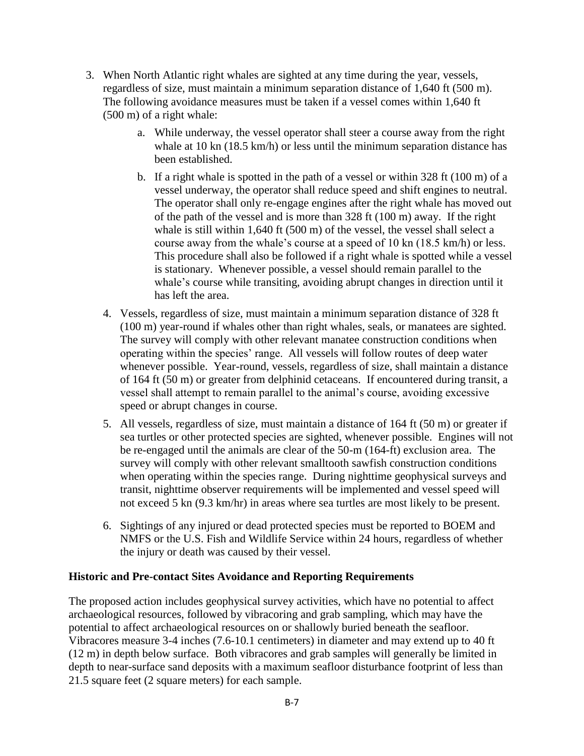- 3. When North Atlantic right whales are sighted at any time during the year, vessels, regardless of size, must maintain a minimum separation distance of 1,640 ft (500 m). The following avoidance measures must be taken if a vessel comes within 1,640 ft (500 m) of a right whale:
	- a. While underway, the vessel operator shall steer a course away from the right whale at 10 kn (18.5 km/h) or less until the minimum separation distance has been established.
	- b. If a right whale is spotted in the path of a vessel or within 328 ft (100 m) of a vessel underway, the operator shall reduce speed and shift engines to neutral. The operator shall only re-engage engines after the right whale has moved out of the path of the vessel and is more than 328 ft (100 m) away. If the right whale is still within 1,640 ft (500 m) of the vessel, the vessel shall select a course away from the whale's course at a speed of 10 kn (18.5 km/h) or less. This procedure shall also be followed if a right whale is spotted while a vessel is stationary. Whenever possible, a vessel should remain parallel to the whale's course while transiting, avoiding abrupt changes in direction until it has left the area.
	- 4. Vessels, regardless of size, must maintain a minimum separation distance of 328 ft (100 m) year-round if whales other than right whales, seals, or manatees are sighted. The survey will comply with other relevant manatee construction conditions when operating within the species' range. All vessels will follow routes of deep water whenever possible. Year-round, vessels, regardless of size, shall maintain a distance of 164 ft (50 m) or greater from delphinid cetaceans. If encountered during transit, a vessel shall attempt to remain parallel to the animal's course, avoiding excessive speed or abrupt changes in course.
	- 5. All vessels, regardless of size, must maintain a distance of 164 ft (50 m) or greater if sea turtles or other protected species are sighted, whenever possible. Engines will not be re-engaged until the animals are clear of the 50-m (164-ft) exclusion area. The survey will comply with other relevant smalltooth sawfish construction conditions when operating within the species range. During nighttime geophysical surveys and transit, nighttime observer requirements will be implemented and vessel speed will not exceed 5 kn (9.3 km/hr) in areas where sea turtles are most likely to be present.
	- 6. Sightings of any injured or dead protected species must be reported to BOEM and NMFS or the U.S. Fish and Wildlife Service within 24 hours, regardless of whether the injury or death was caused by their vessel.

#### **Historic and Pre-contact Sites Avoidance and Reporting Requirements**

The proposed action includes geophysical survey activities, which have no potential to affect archaeological resources, followed by vibracoring and grab sampling, which may have the potential to affect archaeological resources on or shallowly buried beneath the seafloor. Vibracores measure 3-4 inches (7.6-10.1 centimeters) in diameter and may extend up to 40 ft (12 m) in depth below surface. Both vibracores and grab samples will generally be limited in depth to near-surface sand deposits with a maximum seafloor disturbance footprint of less than 21.5 square feet (2 square meters) for each sample.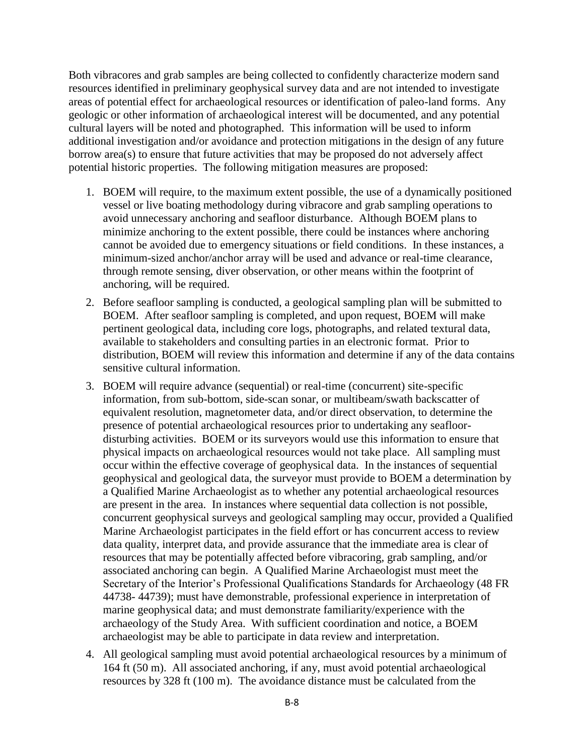Both vibracores and grab samples are being collected to confidently characterize modern sand resources identified in preliminary geophysical survey data and are not intended to investigate areas of potential effect for archaeological resources or identification of paleo-land forms. Any geologic or other information of archaeological interest will be documented, and any potential cultural layers will be noted and photographed. This information will be used to inform additional investigation and/or avoidance and protection mitigations in the design of any future borrow area(s) to ensure that future activities that may be proposed do not adversely affect potential historic properties. The following mitigation measures are proposed:

- 1. BOEM will require, to the maximum extent possible, the use of a dynamically positioned vessel or live boating methodology during vibracore and grab sampling operations to avoid unnecessary anchoring and seafloor disturbance. Although BOEM plans to minimize anchoring to the extent possible, there could be instances where anchoring cannot be avoided due to emergency situations or field conditions. In these instances, a minimum-sized anchor/anchor array will be used and advance or real-time clearance, through remote sensing, diver observation, or other means within the footprint of anchoring, will be required.
- 2. Before seafloor sampling is conducted, a geological sampling plan will be submitted to BOEM. After seafloor sampling is completed, and upon request, BOEM will make pertinent geological data, including core logs, photographs, and related textural data, available to stakeholders and consulting parties in an electronic format. Prior to distribution, BOEM will review this information and determine if any of the data contains sensitive cultural information.
- 3. BOEM will require advance (sequential) or real-time (concurrent) site-specific information, from sub-bottom, side-scan sonar, or multibeam/swath backscatter of equivalent resolution, magnetometer data, and/or direct observation, to determine the presence of potential archaeological resources prior to undertaking any seafloordisturbing activities. BOEM or its surveyors would use this information to ensure that physical impacts on archaeological resources would not take place. All sampling must occur within the effective coverage of geophysical data. In the instances of sequential geophysical and geological data, the surveyor must provide to BOEM a determination by a Qualified Marine Archaeologist as to whether any potential archaeological resources are present in the area. In instances where sequential data collection is not possible, concurrent geophysical surveys and geological sampling may occur, provided a Qualified Marine Archaeologist participates in the field effort or has concurrent access to review data quality, interpret data, and provide assurance that the immediate area is clear of resources that may be potentially affected before vibracoring, grab sampling, and/or associated anchoring can begin. A Qualified Marine Archaeologist must meet the Secretary of the Interior's Professional Qualifications Standards for Archaeology (48 FR 44738- 44739); must have demonstrable, professional experience in interpretation of marine geophysical data; and must demonstrate familiarity/experience with the archaeology of the Study Area. With sufficient coordination and notice, a BOEM archaeologist may be able to participate in data review and interpretation.
- 4. All geological sampling must avoid potential archaeological resources by a minimum of 164 ft (50 m). All associated anchoring, if any, must avoid potential archaeological resources by 328 ft (100 m). The avoidance distance must be calculated from the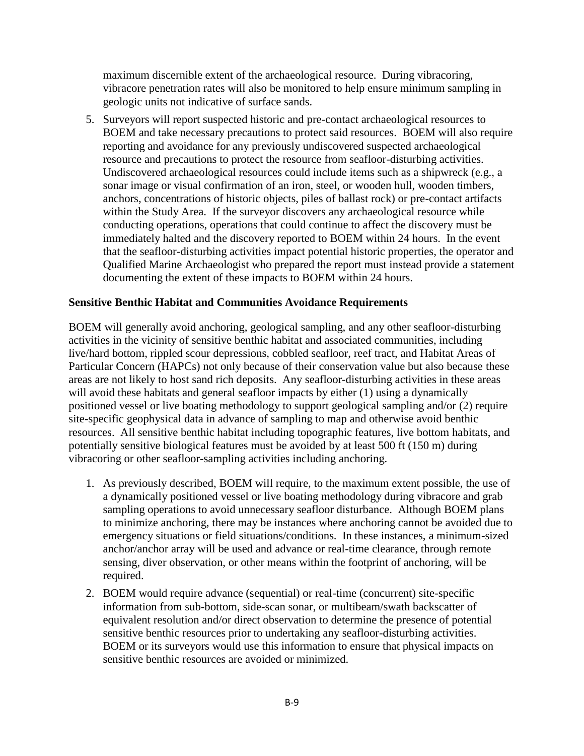maximum discernible extent of the archaeological resource. During vibracoring, vibracore penetration rates will also be monitored to help ensure minimum sampling in geologic units not indicative of surface sands.

5. Surveyors will report suspected historic and pre-contact archaeological resources to BOEM and take necessary precautions to protect said resources. BOEM will also require reporting and avoidance for any previously undiscovered suspected archaeological resource and precautions to protect the resource from seafloor-disturbing activities. Undiscovered archaeological resources could include items such as a shipwreck (e.g., a sonar image or visual confirmation of an iron, steel, or wooden hull, wooden timbers, anchors, concentrations of historic objects, piles of ballast rock) or pre-contact artifacts within the Study Area. If the surveyor discovers any archaeological resource while conducting operations, operations that could continue to affect the discovery must be immediately halted and the discovery reported to BOEM within 24 hours. In the event that the seafloor-disturbing activities impact potential historic properties, the operator and Qualified Marine Archaeologist who prepared the report must instead provide a statement documenting the extent of these impacts to BOEM within 24 hours.

#### **Sensitive Benthic Habitat and Communities Avoidance Requirements**

BOEM will generally avoid anchoring, geological sampling, and any other seafloor-disturbing activities in the vicinity of sensitive benthic habitat and associated communities, including live/hard bottom, rippled scour depressions, cobbled seafloor, reef tract, and Habitat Areas of Particular Concern (HAPCs) not only because of their conservation value but also because these areas are not likely to host sand rich deposits. Any seafloor-disturbing activities in these areas will avoid these habitats and general seafloor impacts by either (1) using a dynamically positioned vessel or live boating methodology to support geological sampling and/or (2) require site-specific geophysical data in advance of sampling to map and otherwise avoid benthic resources. All sensitive benthic habitat including topographic features, live bottom habitats, and potentially sensitive biological features must be avoided by at least 500 ft (150 m) during vibracoring or other seafloor-sampling activities including anchoring.

- 1. As previously described, BOEM will require, to the maximum extent possible, the use of a dynamically positioned vessel or live boating methodology during vibracore and grab sampling operations to avoid unnecessary seafloor disturbance. Although BOEM plans to minimize anchoring, there may be instances where anchoring cannot be avoided due to emergency situations or field situations/conditions. In these instances, a minimum-sized anchor/anchor array will be used and advance or real-time clearance, through remote sensing, diver observation, or other means within the footprint of anchoring, will be required.
- 2. BOEM would require advance (sequential) or real-time (concurrent) site-specific information from sub-bottom, side-scan sonar, or multibeam/swath backscatter of equivalent resolution and/or direct observation to determine the presence of potential sensitive benthic resources prior to undertaking any seafloor-disturbing activities. BOEM or its surveyors would use this information to ensure that physical impacts on sensitive benthic resources are avoided or minimized.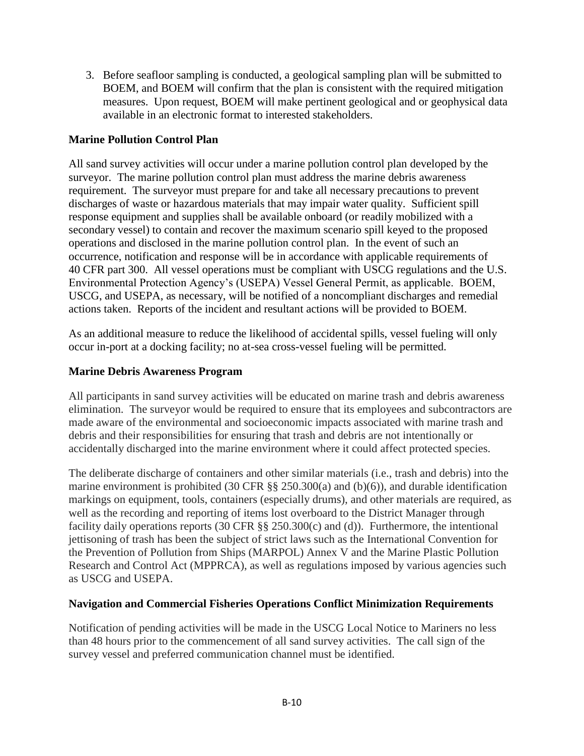3. Before seafloor sampling is conducted, a geological sampling plan will be submitted to BOEM, and BOEM will confirm that the plan is consistent with the required mitigation measures. Upon request, BOEM will make pertinent geological and or geophysical data available in an electronic format to interested stakeholders.

# **Marine Pollution Control Plan**

All sand survey activities will occur under a marine pollution control plan developed by the surveyor. The marine pollution control plan must address the marine debris awareness requirement. The surveyor must prepare for and take all necessary precautions to prevent discharges of waste or hazardous materials that may impair water quality. Sufficient spill response equipment and supplies shall be available onboard (or readily mobilized with a secondary vessel) to contain and recover the maximum scenario spill keyed to the proposed operations and disclosed in the marine pollution control plan. In the event of such an occurrence, notification and response will be in accordance with applicable requirements of 40 CFR part 300. All vessel operations must be compliant with USCG regulations and the U.S. Environmental Protection Agency's (USEPA) Vessel General Permit, as applicable. BOEM, USCG, and USEPA, as necessary, will be notified of a noncompliant discharges and remedial actions taken. Reports of the incident and resultant actions will be provided to BOEM.

As an additional measure to reduce the likelihood of accidental spills, vessel fueling will only occur in-port at a docking facility; no at-sea cross-vessel fueling will be permitted.

# **Marine Debris Awareness Program**

All participants in sand survey activities will be educated on marine trash and debris awareness elimination. The surveyor would be required to ensure that its employees and subcontractors are made aware of the environmental and socioeconomic impacts associated with marine trash and debris and their responsibilities for ensuring that trash and debris are not intentionally or accidentally discharged into the marine environment where it could affect protected species.

The deliberate discharge of containers and other similar materials (i.e., trash and debris) into the marine environment is prohibited (30 CFR §§ 250.300(a) and (b)(6)), and durable identification markings on equipment, tools, containers (especially drums), and other materials are required, as well as the recording and reporting of items lost overboard to the District Manager through facility daily operations reports (30 CFR §§ 250.300(c) and (d)). Furthermore, the intentional jettisoning of trash has been the subject of strict laws such as the International Convention for the Prevention of Pollution from Ships (MARPOL) Annex V and the Marine Plastic Pollution Research and Control Act (MPPRCA), as well as regulations imposed by various agencies such as USCG and USEPA.

# **Navigation and Commercial Fisheries Operations Conflict Minimization Requirements**

Notification of pending activities will be made in the USCG Local Notice to Mariners no less than 48 hours prior to the commencement of all sand survey activities. The call sign of the survey vessel and preferred communication channel must be identified.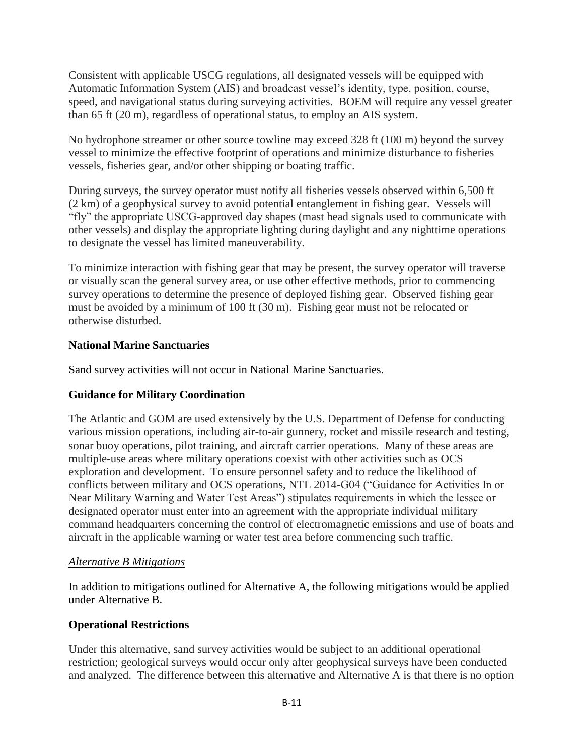Consistent with applicable USCG regulations, all designated vessels will be equipped with Automatic Information System (AIS) and broadcast vessel's identity, type, position, course, speed, and navigational status during surveying activities. BOEM will require any vessel greater than 65 ft (20 m), regardless of operational status, to employ an AIS system.

No hydrophone streamer or other source towline may exceed 328 ft (100 m) beyond the survey vessel to minimize the effective footprint of operations and minimize disturbance to fisheries vessels, fisheries gear, and/or other shipping or boating traffic.

During surveys, the survey operator must notify all fisheries vessels observed within 6,500 ft (2 km) of a geophysical survey to avoid potential entanglement in fishing gear. Vessels will "fly" the appropriate USCG-approved day shapes (mast head signals used to communicate with other vessels) and display the appropriate lighting during daylight and any nighttime operations to designate the vessel has limited maneuverability.

To minimize interaction with fishing gear that may be present, the survey operator will traverse or visually scan the general survey area, or use other effective methods, prior to commencing survey operations to determine the presence of deployed fishing gear. Observed fishing gear must be avoided by a minimum of 100 ft (30 m). Fishing gear must not be relocated or otherwise disturbed.

# **National Marine Sanctuaries**

Sand survey activities will not occur in National Marine Sanctuaries.

# **Guidance for Military Coordination**

The Atlantic and GOM are used extensively by the U.S. Department of Defense for conducting various mission operations, including air-to-air gunnery, rocket and missile research and testing, sonar buoy operations, pilot training, and aircraft carrier operations. Many of these areas are multiple-use areas where military operations coexist with other activities such as OCS exploration and development. To ensure personnel safety and to reduce the likelihood of conflicts between military and OCS operations, NTL 2014-G04 ("Guidance for Activities In or Near Military Warning and Water Test Areas") stipulates requirements in which the lessee or designated operator must enter into an agreement with the appropriate individual military command headquarters concerning the control of electromagnetic emissions and use of boats and aircraft in the applicable warning or water test area before commencing such traffic.

# *Alternative B Mitigations*

In addition to mitigations outlined for Alternative A, the following mitigations would be applied under Alternative B.

# **Operational Restrictions**

Under this alternative, sand survey activities would be subject to an additional operational restriction; geological surveys would occur only after geophysical surveys have been conducted and analyzed. The difference between this alternative and Alternative A is that there is no option